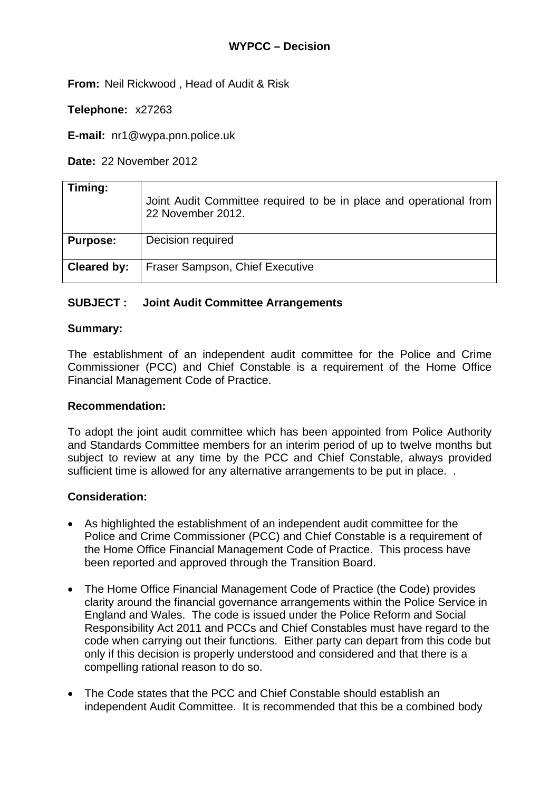**From:** Neil Rickwood , Head of Audit & Risk

**Telephone:** x27263

**E-mail:** nr1@wypa.pnn.police.uk

**Date:** 22 November 2012

| Timing:         | Joint Audit Committee required to be in place and operational from<br>22 November 2012. |
|-----------------|-----------------------------------------------------------------------------------------|
| <b>Purpose:</b> | Decision required                                                                       |
| Cleared by:     | Fraser Sampson, Chief Executive                                                         |

# **SUBJECT : Joint Audit Committee Arrangements**

## **Summary:**

The establishment of an independent audit committee for the Police and Crime Commissioner (PCC) and Chief Constable is a requirement of the Home Office Financial Management Code of Practice.

## **Recommendation:**

To adopt the joint audit committee which has been appointed from Police Authority and Standards Committee members for an interim period of up to twelve months but subject to review at any time by the PCC and Chief Constable, always provided sufficient time is allowed for any alternative arrangements to be put in place...

## **Consideration:**

- As highlighted the establishment of an independent audit committee for the Police and Crime Commissioner (PCC) and Chief Constable is a requirement of the Home Office Financial Management Code of Practice. This process have been reported and approved through the Transition Board.
- The Home Office Financial Management Code of Practice (the Code) provides clarity around the financial governance arrangements within the Police Service in England and Wales. The code is issued under the Police Reform and Social Responsibility Act 2011 and PCCs and Chief Constables must have regard to the code when carrying out their functions. Either party can depart from this code but only if this decision is properly understood and considered and that there is a compelling rational reason to do so.
- The Code states that the PCC and Chief Constable should establish an independent Audit Committee. It is recommended that this be a combined body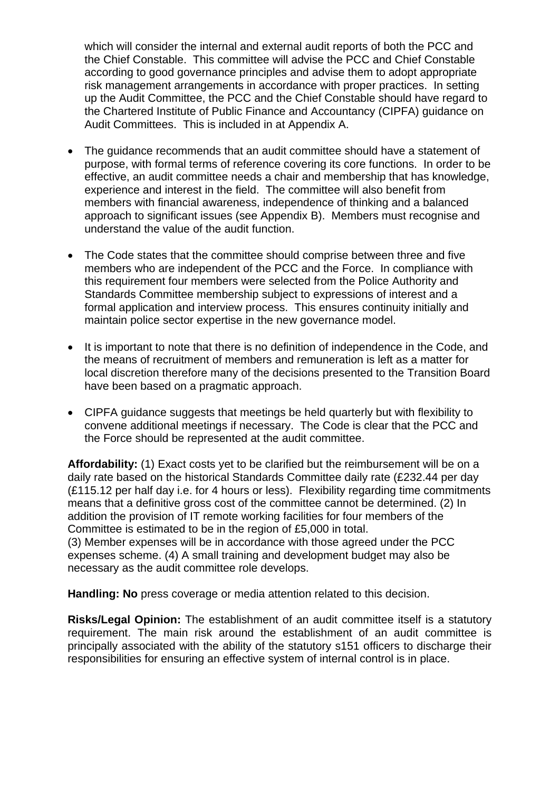which will consider the internal and external audit reports of both the PCC and the Chief Constable. This committee will advise the PCC and Chief Constable according to good governance principles and advise them to adopt appropriate risk management arrangements in accordance with proper practices. In setting up the Audit Committee, the PCC and the Chief Constable should have regard to the Chartered Institute of Public Finance and Accountancy (CIPFA) guidance on Audit Committees. This is included in at Appendix A.

- The guidance recommends that an audit committee should have a statement of purpose, with formal terms of reference covering its core functions. In order to be effective, an audit committee needs a chair and membership that has knowledge, experience and interest in the field. The committee will also benefit from members with financial awareness, independence of thinking and a balanced approach to significant issues (see Appendix B). Members must recognise and understand the value of the audit function.
- The Code states that the committee should comprise between three and five members who are independent of the PCC and the Force. In compliance with this requirement four members were selected from the Police Authority and Standards Committee membership subject to expressions of interest and a formal application and interview process. This ensures continuity initially and maintain police sector expertise in the new governance model.
- It is important to note that there is no definition of independence in the Code, and the means of recruitment of members and remuneration is left as a matter for local discretion therefore many of the decisions presented to the Transition Board have been based on a pragmatic approach.
- CIPFA guidance suggests that meetings be held quarterly but with flexibility to convene additional meetings if necessary. The Code is clear that the PCC and the Force should be represented at the audit committee.

**Affordability:** (1) Exact costs yet to be clarified but the reimbursement will be on a daily rate based on the historical Standards Committee daily rate (£232.44 per day (£115.12 per half day i.e. for 4 hours or less). Flexibility regarding time commitments means that a definitive gross cost of the committee cannot be determined. (2) In addition the provision of IT remote working facilities for four members of the Committee is estimated to be in the region of £5,000 in total.

(3) Member expenses will be in accordance with those agreed under the PCC expenses scheme. (4) A small training and development budget may also be necessary as the audit committee role develops.

**Handling: No** press coverage or media attention related to this decision.

**Risks/Legal Opinion:** The establishment of an audit committee itself is a statutory requirement. The main risk around the establishment of an audit committee is principally associated with the ability of the statutory s151 officers to discharge their responsibilities for ensuring an effective system of internal control is in place.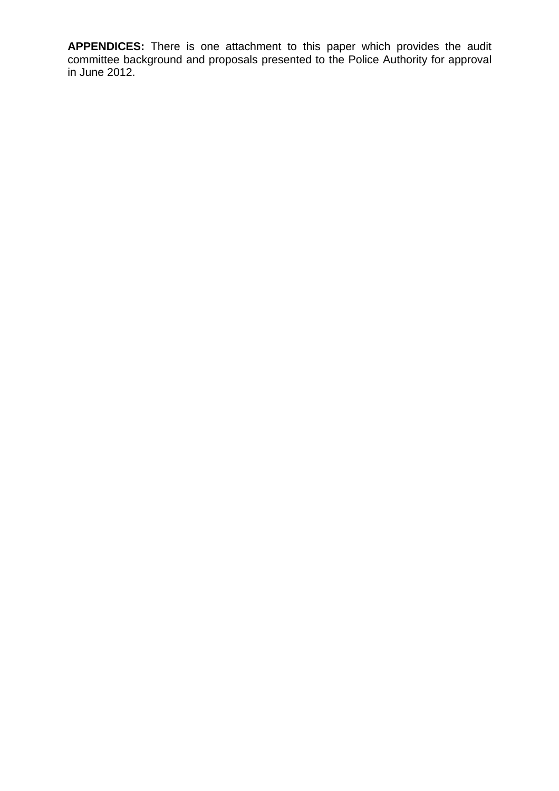**APPENDICES:** There is one attachment to this paper which provides the audit committee background and proposals presented to the Police Authority for approval in June 2012.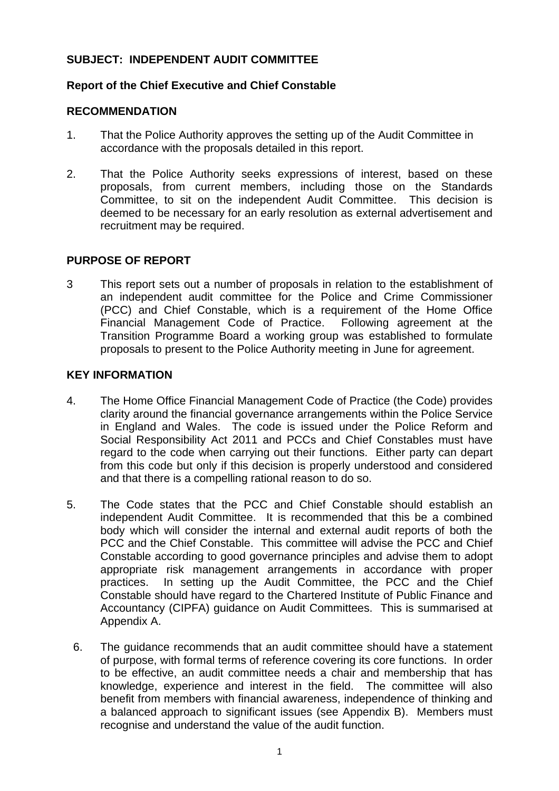## **SUBJECT: INDEPENDENT AUDIT COMMITTEE**

## **Report of the Chief Executive and Chief Constable**

## **RECOMMENDATION**

- 1. That the Police Authority approves the setting up of the Audit Committee in accordance with the proposals detailed in this report.
- 2. That the Police Authority seeks expressions of interest, based on these proposals, from current members, including those on the Standards Committee, to sit on the independent Audit Committee. This decision is deemed to be necessary for an early resolution as external advertisement and recruitment may be required.

## **PURPOSE OF REPORT**

3 This report sets out a number of proposals in relation to the establishment of an independent audit committee for the Police and Crime Commissioner (PCC) and Chief Constable, which is a requirement of the Home Office Financial Management Code of Practice. Following agreement at the Transition Programme Board a working group was established to formulate proposals to present to the Police Authority meeting in June for agreement.

#### **KEY INFORMATION**

- 4. The Home Office Financial Management Code of Practice (the Code) provides clarity around the financial governance arrangements within the Police Service in England and Wales. The code is issued under the Police Reform and Social Responsibility Act 2011 and PCCs and Chief Constables must have regard to the code when carrying out their functions. Either party can depart from this code but only if this decision is properly understood and considered and that there is a compelling rational reason to do so.
- 5. The Code states that the PCC and Chief Constable should establish an independent Audit Committee. It is recommended that this be a combined body which will consider the internal and external audit reports of both the PCC and the Chief Constable. This committee will advise the PCC and Chief Constable according to good governance principles and advise them to adopt appropriate risk management arrangements in accordance with proper practices. In setting up the Audit Committee, the PCC and the Chief Constable should have regard to the Chartered Institute of Public Finance and Accountancy (CIPFA) guidance on Audit Committees. This is summarised at Appendix A.
	- 6. The guidance recommends that an audit committee should have a statement of purpose, with formal terms of reference covering its core functions. In order to be effective, an audit committee needs a chair and membership that has knowledge, experience and interest in the field. The committee will also benefit from members with financial awareness, independence of thinking and a balanced approach to significant issues (see Appendix B). Members must recognise and understand the value of the audit function.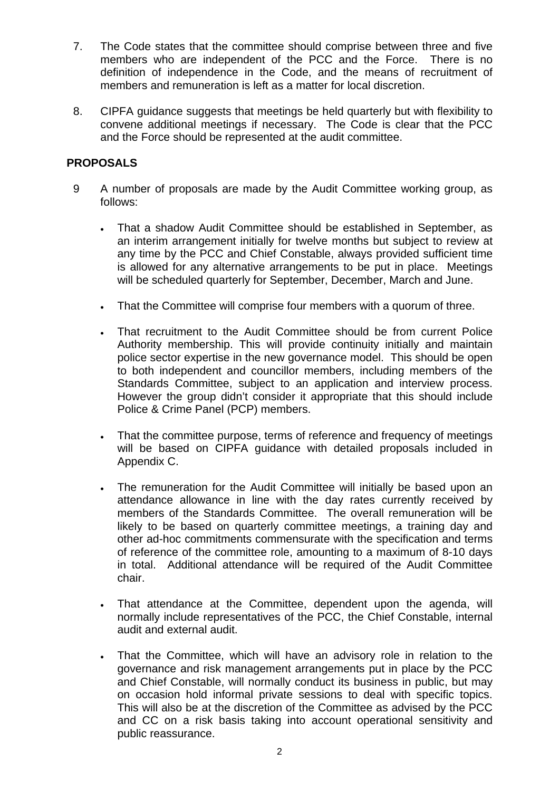- 7. The Code states that the committee should comprise between three and five members who are independent of the PCC and the Force. There is no definition of independence in the Code, and the means of recruitment of members and remuneration is left as a matter for local discretion.
- 8. CIPFA guidance suggests that meetings be held quarterly but with flexibility to convene additional meetings if necessary. The Code is clear that the PCC and the Force should be represented at the audit committee.

## **PROPOSALS**

- 9 A number of proposals are made by the Audit Committee working group, as follows:
	- That a shadow Audit Committee should be established in September, as an interim arrangement initially for twelve months but subject to review at any time by the PCC and Chief Constable, always provided sufficient time is allowed for any alternative arrangements to be put in place. Meetings will be scheduled quarterly for September, December, March and June.
	- That the Committee will comprise four members with a quorum of three.
	- That recruitment to the Audit Committee should be from current Police Authority membership. This will provide continuity initially and maintain police sector expertise in the new governance model. This should be open to both independent and councillor members, including members of the Standards Committee, subject to an application and interview process. However the group didn't consider it appropriate that this should include Police & Crime Panel (PCP) members.
	- That the committee purpose, terms of reference and frequency of meetings will be based on CIPFA guidance with detailed proposals included in Appendix C.
	- The remuneration for the Audit Committee will initially be based upon an attendance allowance in line with the day rates currently received by members of the Standards Committee. The overall remuneration will be likely to be based on quarterly committee meetings, a training day and other ad-hoc commitments commensurate with the specification and terms of reference of the committee role, amounting to a maximum of 8-10 days in total. Additional attendance will be required of the Audit Committee chair.
	- That attendance at the Committee, dependent upon the agenda, will normally include representatives of the PCC, the Chief Constable, internal audit and external audit.
	- That the Committee, which will have an advisory role in relation to the governance and risk management arrangements put in place by the PCC and Chief Constable, will normally conduct its business in public, but may on occasion hold informal private sessions to deal with specific topics. This will also be at the discretion of the Committee as advised by the PCC and CC on a risk basis taking into account operational sensitivity and public reassurance.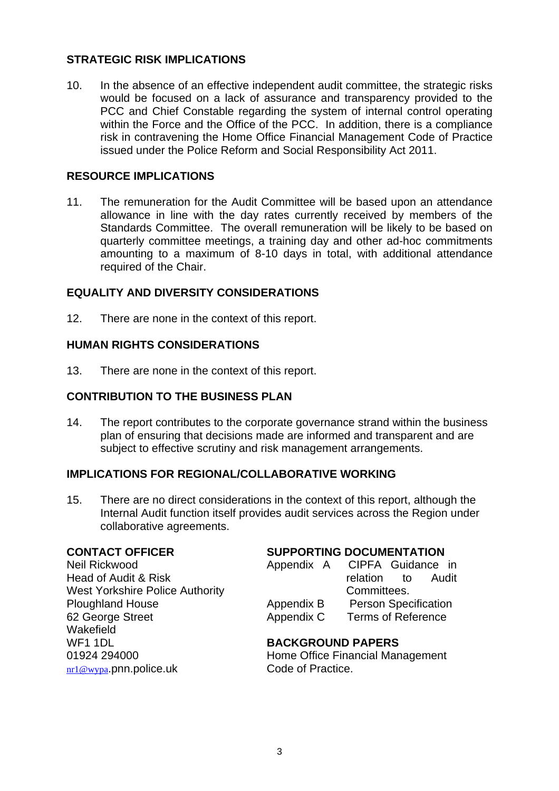## **STRATEGIC RISK IMPLICATIONS**

10. In the absence of an effective independent audit committee, the strategic risks would be focused on a lack of assurance and transparency provided to the PCC and Chief Constable regarding the system of internal control operating within the Force and the Office of the PCC. In addition, there is a compliance risk in contravening the Home Office Financial Management Code of Practice issued under the Police Reform and Social Responsibility Act 2011.

## **RESOURCE IMPLICATIONS**

11. The remuneration for the Audit Committee will be based upon an attendance allowance in line with the day rates currently received by members of the Standards Committee. The overall remuneration will be likely to be based on quarterly committee meetings, a training day and other ad-hoc commitments amounting to a maximum of 8-10 days in total, with additional attendance required of the Chair.

## **EQUALITY AND DIVERSITY CONSIDERATIONS**

12. There are none in the context of this report.

## **HUMAN RIGHTS CONSIDERATIONS**

13. There are none in the context of this report.

## **CONTRIBUTION TO THE BUSINESS PLAN**

14. The report contributes to the corporate governance strand within the business plan of ensuring that decisions made are informed and transparent and are subject to effective scrutiny and risk management arrangements.

## **IMPLICATIONS FOR REGIONAL/COLLABORATIVE WORKING**

15. There are no direct considerations in the context of this report, although the Internal Audit function itself provides audit services across the Region under collaborative agreements.

#### **CONTACT OFFICER**

Neil Rickwood Head of Audit & Risk West Yorkshire Police Authority Ploughland House 62 George Street **Wakefield** WF1 1DL 01924 294000 [nr1@wypa](mailto:nr1@wypa).pnn.police.uk

## **SUPPORTING DOCUMENTATION**

| Appendix A | CIPFA Guidance in         |                             |       |
|------------|---------------------------|-----------------------------|-------|
|            | relation                  | to:                         | Audit |
|            | Committees.               |                             |       |
| Appendix B |                           | <b>Person Specification</b> |       |
| Appendix C | <b>Terms of Reference</b> |                             |       |

## **BACKGROUND PAPERS**

Home Office Financial Management Code of Practice.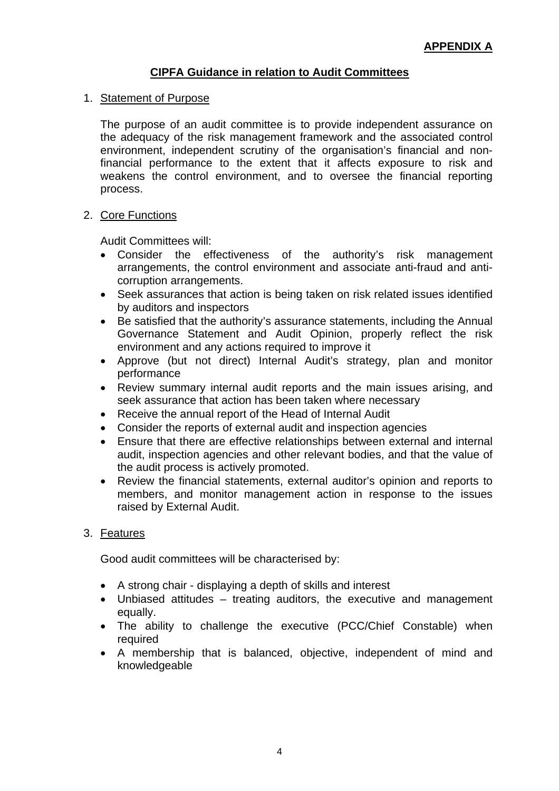# **CIPFA Guidance in relation to Audit Committees**

## 1. Statement of Purpose

The purpose of an audit committee is to provide independent assurance on the adequacy of the risk management framework and the associated control environment, independent scrutiny of the organisation's financial and nonfinancial performance to the extent that it affects exposure to risk and weakens the control environment, and to oversee the financial reporting process.

## 2. Core Functions

Audit Committees will:

- Consider the effectiveness of the authority's risk management arrangements, the control environment and associate anti-fraud and anticorruption arrangements.
- Seek assurances that action is being taken on risk related issues identified by auditors and inspectors
- Be satisfied that the authority's assurance statements, including the Annual Governance Statement and Audit Opinion, properly reflect the risk environment and any actions required to improve it
- Approve (but not direct) Internal Audit's strategy, plan and monitor performance
- Review summary internal audit reports and the main issues arising, and seek assurance that action has been taken where necessary
- Receive the annual report of the Head of Internal Audit
- Consider the reports of external audit and inspection agencies
- Ensure that there are effective relationships between external and internal audit, inspection agencies and other relevant bodies, and that the value of the audit process is actively promoted.
- Review the financial statements, external auditor's opinion and reports to members, and monitor management action in response to the issues raised by External Audit.

## 3. Features

Good audit committees will be characterised by:

- A strong chair displaying a depth of skills and interest
- Unbiased attitudes treating auditors, the executive and management equally.
- The ability to challenge the executive (PCC/Chief Constable) when required
- A membership that is balanced, objective, independent of mind and knowledgeable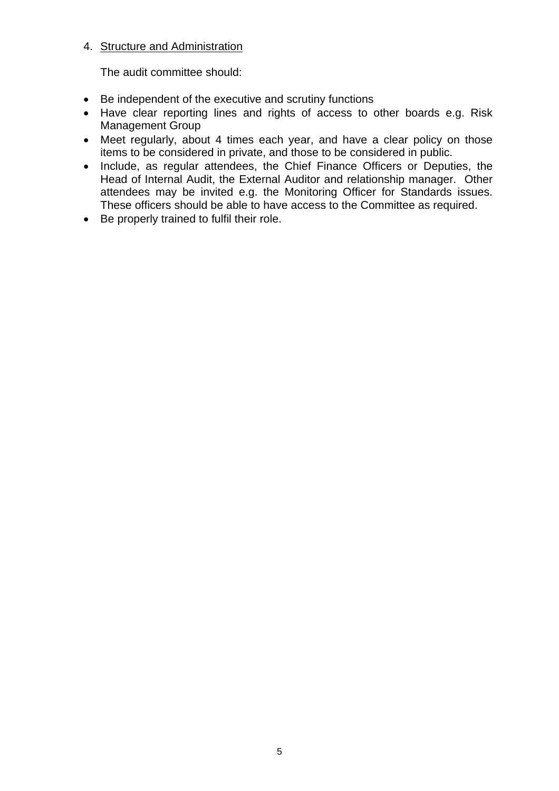## 4. Structure and Administration

The audit committee should:

- Be independent of the executive and scrutiny functions
- Have clear reporting lines and rights of access to other boards e.g. Risk Management Group
- Meet regularly, about 4 times each year, and have a clear policy on those items to be considered in private, and those to be considered in public.
- Include, as regular attendees, the Chief Finance Officers or Deputies, the Head of Internal Audit, the External Auditor and relationship manager. Other attendees may be invited e.g. the Monitoring Officer for Standards issues. These officers should be able to have access to the Committee as required.
- Be properly trained to fulfil their role.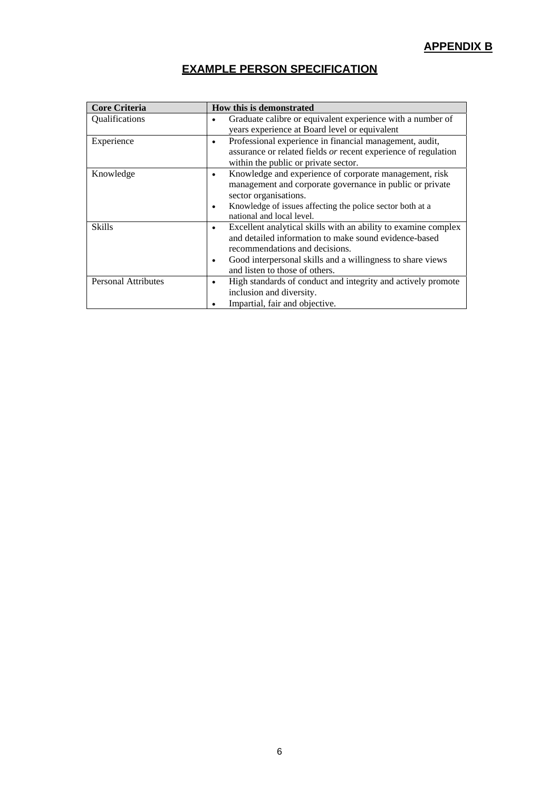## **APPENDIX B**

# **EXAMPLE PERSON SPECIFICATION**

| <b>Core Criteria</b>       | <b>How this is demonstrated</b>                                                                                                                                                                                                                                |
|----------------------------|----------------------------------------------------------------------------------------------------------------------------------------------------------------------------------------------------------------------------------------------------------------|
| Qualifications             | Graduate calibre or equivalent experience with a number of<br>years experience at Board level or equivalent                                                                                                                                                    |
| Experience                 | Professional experience in financial management, audit,<br>$\bullet$<br>assurance or related fields or recent experience of regulation<br>within the public or private sector.                                                                                 |
| Knowledge                  | Knowledge and experience of corporate management, risk<br>٠<br>management and corporate governance in public or private<br>sector organisations.<br>Knowledge of issues affecting the police sector both at a<br>national and local level.                     |
| <b>Skills</b>              | Excellent analytical skills with an ability to examine complex<br>٠<br>and detailed information to make sound evidence-based<br>recommendations and decisions.<br>Good interpersonal skills and a willingness to share views<br>and listen to those of others. |
| <b>Personal Attributes</b> | High standards of conduct and integrity and actively promote<br>inclusion and diversity.<br>Impartial, fair and objective.                                                                                                                                     |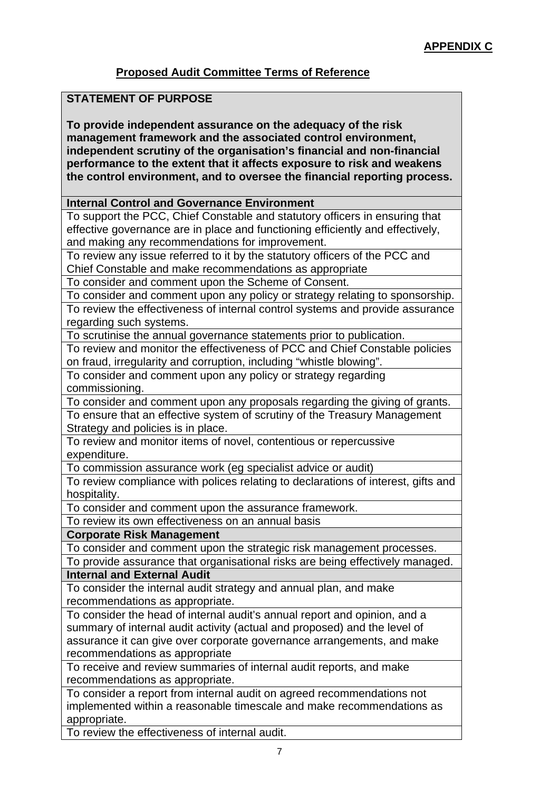# **Proposed Audit Committee Terms of Reference**

## **STATEMENT OF PURPOSE**

**To provide independent assurance on the adequacy of the risk management framework and the associated control environment, independent scrutiny of the organisation's financial and non-financial performance to the extent that it affects exposure to risk and weakens the control environment, and to oversee the financial reporting process.** 

#### **Internal Control and Governance Environment**

To support the PCC, Chief Constable and statutory officers in ensuring that effective governance are in place and functioning efficiently and effectively, and making any recommendations for improvement.

To review any issue referred to it by the statutory officers of the PCC and Chief Constable and make recommendations as appropriate

To consider and comment upon the Scheme of Consent.

To consider and comment upon any policy or strategy relating to sponsorship. To review the effectiveness of internal control systems and provide assurance regarding such systems.

To scrutinise the annual governance statements prior to publication.

To review and monitor the effectiveness of PCC and Chief Constable policies on fraud, irregularity and corruption, including "whistle blowing".

To consider and comment upon any policy or strategy regarding commissioning.

To consider and comment upon any proposals regarding the giving of grants. To ensure that an effective system of scrutiny of the Treasury Management Strategy and policies is in place.

To review and monitor items of novel, contentious or repercussive expenditure.

To commission assurance work (eg specialist advice or audit)

To review compliance with polices relating to declarations of interest, gifts and hospitality.

To consider and comment upon the assurance framework.

To review its own effectiveness on an annual basis

**Corporate Risk Management** 

To consider and comment upon the strategic risk management processes.

To provide assurance that organisational risks are being effectively managed. **Internal and External Audit** 

To consider the internal audit strategy and annual plan, and make recommendations as appropriate.

To consider the head of internal audit's annual report and opinion, and a summary of internal audit activity (actual and proposed) and the level of assurance it can give over corporate governance arrangements, and make recommendations as appropriate

To receive and review summaries of internal audit reports, and make recommendations as appropriate.

To consider a report from internal audit on agreed recommendations not implemented within a reasonable timescale and make recommendations as appropriate.

To review the effectiveness of internal audit.